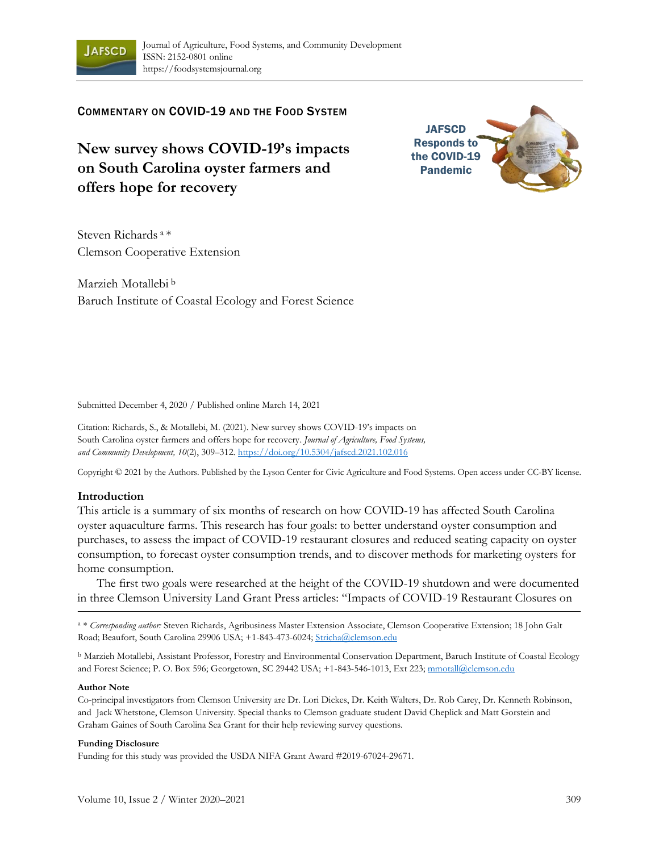

# COMMENTARY ON COVID-19 AND THE FOOD SYSTEM

**New survey shows COVID-19's impacts on South Carolina oyster farmers and offers hope for recovery**



Steven Richards <sup>a</sup>\* Clemson Cooperative Extension

Marzieh Motallebi <sup>b</sup> Baruch Institute of Coastal Ecology and Forest Science

Submitted December 4, 2020 / Published online March 14, 2021

Citation: Richards, S., & Motallebi, M. (2021). New survey shows COVID-19's impacts on South Carolina oyster farmers and offers hope for recovery. *Journal of Agriculture, Food Systems, and Community Development, 10*(2), 309–312. https://doi.org/10.5304/jafscd.2021.102.016

Copyright © 2021 by the Authors. Published by the Lyson Center for Civic Agriculture and Food Systems. Open access under CC-BY license.

### **Introduction**

This article is a summary of six months of research on how COVID-19 has affected South Carolina oyster aquaculture farms. This research has four goals: to better understand oyster consumption and purchases, to assess the impact of COVID-19 restaurant closures and reduced seating capacity on oyster consumption, to forecast oyster consumption trends, and to discover methods for marketing oysters for home consumption.

The first two goals were researched at the height of the COVID-19 shutdown and were documented in three Clemson University Land Grant Press articles: "Impacts of COVID-19 Restaurant Closures on

a \* *Corresponding author:* Steven Richards, Agribusiness Master Extension Associate, Clemson Cooperative Extension; 18 John Galt Road; Beaufort, South Carolina 29906 USA; +1-843-473-6024; Stricha@clemson.edu

<sup>b</sup> Marzieh Motallebi, Assistant Professor, Forestry and Environmental Conservation Department, Baruch Institute of Coastal Ecology and Forest Science; P. O. Box 596; Georgetown, SC 29442 USA; +1-843-546-1013, Ext 223; mmotall@clemson.edu

#### **Author Note**

Co-principal investigators from Clemson University are Dr. Lori Dickes, Dr. Keith Walters, Dr. Rob Carey, Dr. Kenneth Robinson, and Jack Whetstone, Clemson University. Special thanks to Clemson graduate student David Cheplick and Matt Gorstein and Graham Gaines of South Carolina Sea Grant for their help reviewing survey questions.

#### **Funding Disclosure**

Funding for this study was provided the USDA NIFA Grant Award #2019-67024-29671.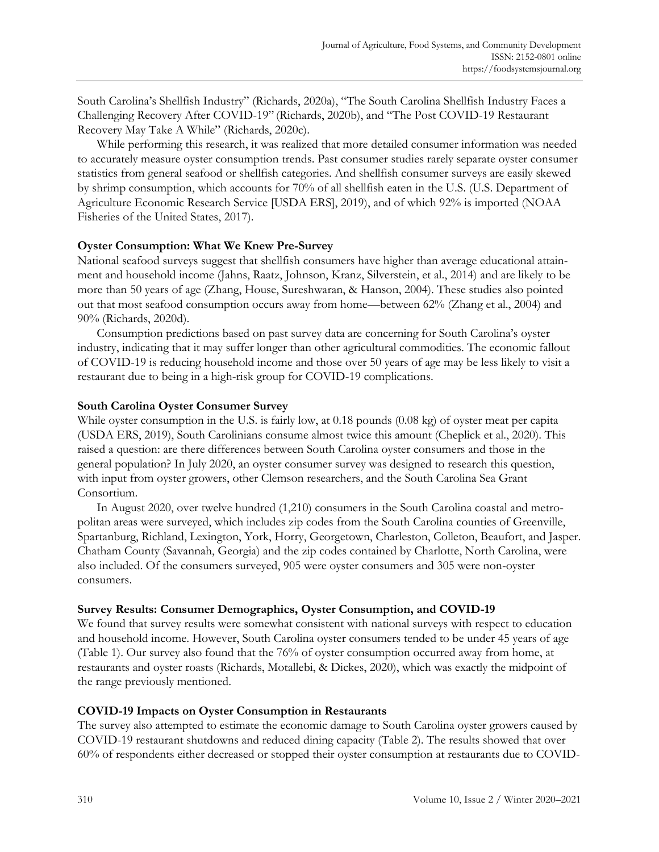South Carolina's Shellfish Industry" (Richards, 2020a), "The South Carolina Shellfish Industry Faces a Challenging Recovery After COVID-19" (Richards, 2020b), and "The Post COVID-19 Restaurant Recovery May Take A While" (Richards, 2020c).

While performing this research, it was realized that more detailed consumer information was needed to accurately measure oyster consumption trends. Past consumer studies rarely separate oyster consumer statistics from general seafood or shellfish categories. And shellfish consumer surveys are easily skewed by shrimp consumption, which accounts for 70% of all shellfish eaten in the U.S. (U.S. Department of Agriculture Economic Research Service [USDA ERS], 2019), and of which 92% is imported (NOAA Fisheries of the United States, 2017).

# **Oyster Consumption: What We Knew Pre-Survey**

National seafood surveys suggest that shellfish consumers have higher than average educational attainment and household income (Jahns, Raatz, Johnson, Kranz, Silverstein, et al., 2014) and are likely to be more than 50 years of age (Zhang, House, Sureshwaran, & Hanson, 2004). These studies also pointed out that most seafood consumption occurs away from home—between 62% (Zhang et al., 2004) and 90% (Richards, 2020d).

Consumption predictions based on past survey data are concerning for South Carolina's oyster industry, indicating that it may suffer longer than other agricultural commodities. The economic fallout of COVID-19 is reducing household income and those over 50 years of age may be less likely to visit a restaurant due to being in a high-risk group for COVID-19 complications.

## **South Carolina Oyster Consumer Survey**

While oyster consumption in the U.S. is fairly low, at 0.18 pounds (0.08 kg) of oyster meat per capita (USDA ERS, 2019), South Carolinians consume almost twice this amount (Cheplick et al., 2020). This raised a question: are there differences between South Carolina oyster consumers and those in the general population? In July 2020, an oyster consumer survey was designed to research this question, with input from oyster growers, other Clemson researchers, and the South Carolina Sea Grant Consortium.

In August 2020, over twelve hundred (1,210) consumers in the South Carolina coastal and metropolitan areas were surveyed, which includes zip codes from the South Carolina counties of Greenville, Spartanburg, Richland, Lexington, York, Horry, Georgetown, Charleston, Colleton, Beaufort, and Jasper. Chatham County (Savannah, Georgia) and the zip codes contained by Charlotte, North Carolina, were also included. Of the consumers surveyed, 905 were oyster consumers and 305 were non-oyster consumers.

## **Survey Results: Consumer Demographics, Oyster Consumption, and COVID-19**

We found that survey results were somewhat consistent with national surveys with respect to education and household income. However, South Carolina oyster consumers tended to be under 45 years of age (Table 1). Our survey also found that the 76% of oyster consumption occurred away from home, at restaurants and oyster roasts (Richards, Motallebi, & Dickes, 2020), which was exactly the midpoint of the range previously mentioned.

## **COVID-19 Impacts on Oyster Consumption in Restaurants**

The survey also attempted to estimate the economic damage to South Carolina oyster growers caused by COVID-19 restaurant shutdowns and reduced dining capacity (Table 2). The results showed that over 60% of respondents either decreased or stopped their oyster consumption at restaurants due to COVID-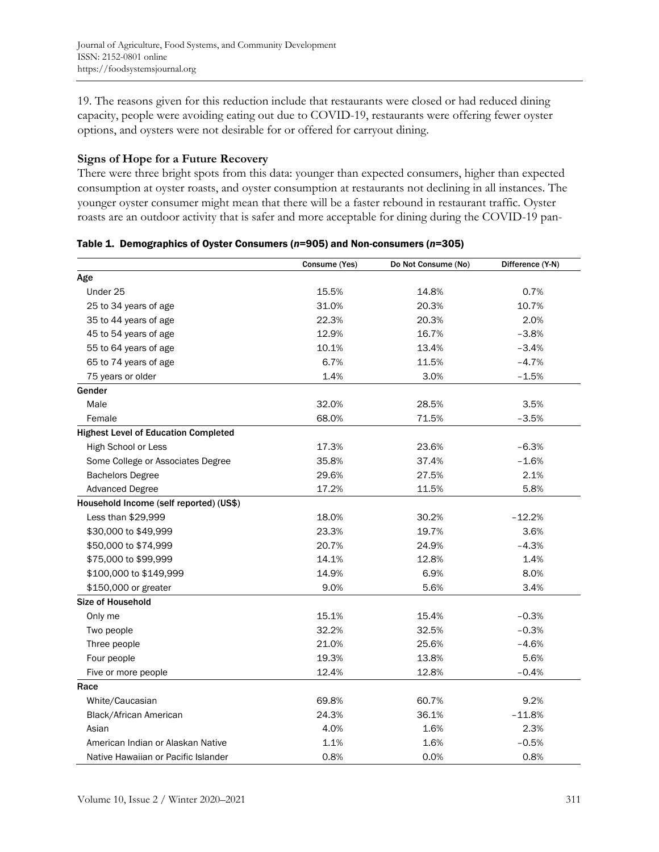19. The reasons given for this reduction include that restaurants were closed or had reduced dining capacity, people were avoiding eating out due to COVID-19, restaurants were offering fewer oyster options, and oysters were not desirable for or offered for carryout dining.

# **Signs of Hope for a Future Recovery**

There were three bright spots from this data: younger than expected consumers, higher than expected consumption at oyster roasts, and oyster consumption at restaurants not declining in all instances. The younger oyster consumer might mean that there will be a faster rebound in restaurant traffic. Oyster roasts are an outdoor activity that is safer and more acceptable for dining during the COVID-19 pan-

|                                             | Consume (Yes) | Do Not Consume (No) | Difference (Y-N) |
|---------------------------------------------|---------------|---------------------|------------------|
| Age                                         |               |                     |                  |
| Under 25                                    | 15.5%         | 14.8%               | 0.7%             |
| 25 to 34 years of age                       | 31.0%         | 20.3%               | 10.7%            |
| 35 to 44 years of age                       | 22.3%         | 20.3%               | 2.0%             |
| 45 to 54 years of age                       | 12.9%         | 16.7%               | $-3.8%$          |
| 55 to 64 years of age                       | 10.1%         | 13.4%               | $-3.4%$          |
| 65 to 74 years of age                       | 6.7%          | 11.5%               | $-4.7%$          |
| 75 years or older                           | 1.4%          | 3.0%                | $-1.5%$          |
| Gender                                      |               |                     |                  |
| Male                                        | 32.0%         | 28.5%               | 3.5%             |
| Female                                      | 68.0%         | 71.5%               | $-3.5%$          |
| <b>Highest Level of Education Completed</b> |               |                     |                  |
| High School or Less                         | 17.3%         | 23.6%               | $-6.3%$          |
| Some College or Associates Degree           | 35.8%         | 37.4%               | $-1.6%$          |
| <b>Bachelors Degree</b>                     | 29.6%         | 27.5%               | 2.1%             |
| <b>Advanced Degree</b>                      | 17.2%         | 11.5%               | 5.8%             |
| Household Income (self reported) (US\$)     |               |                     |                  |
| Less than \$29,999                          | 18.0%         | 30.2%               | $-12.2%$         |
| \$30,000 to \$49,999                        | 23.3%         | 19.7%               | 3.6%             |
| \$50,000 to \$74,999                        | 20.7%         | 24.9%               | $-4.3%$          |
| \$75,000 to \$99,999                        | 14.1%         | 12.8%               | 1.4%             |
| \$100,000 to \$149,999                      | 14.9%         | 6.9%                | 8.0%             |
| \$150,000 or greater                        | 9.0%          | 5.6%                | 3.4%             |
| Size of Household                           |               |                     |                  |
| Only me                                     | 15.1%         | 15.4%               | $-0.3%$          |
| Two people                                  | 32.2%         | 32.5%               | $-0.3%$          |
| Three people                                | 21.0%         | 25.6%               | $-4.6%$          |
| Four people                                 | 19.3%         | 13.8%               | 5.6%             |
| Five or more people                         | 12.4%         | 12.8%               | $-0.4%$          |
| Race                                        |               |                     |                  |
| White/Caucasian                             | 69.8%         | 60.7%               | 9.2%             |
| Black/African American                      | 24.3%         | 36.1%               | $-11.8%$         |
| Asian                                       | 4.0%          | 1.6%                | 2.3%             |
| American Indian or Alaskan Native           | 1.1%          | 1.6%                | $-0.5%$          |
| Native Hawaiian or Pacific Islander         | 0.8%          | 0.0%                | 0.8%             |

Table 1. Demographics of Oyster Consumers (*n*=905) and Non-consumers (*n*=305)